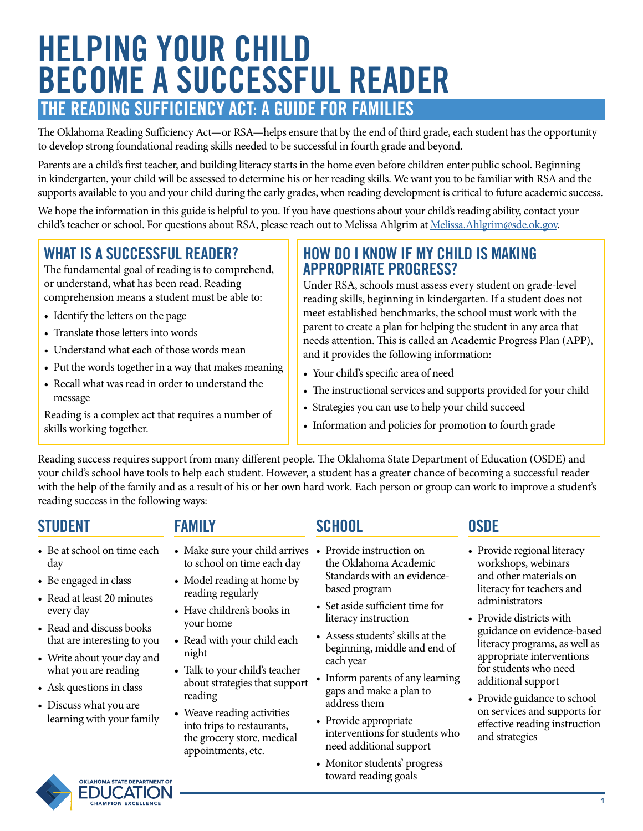# **HELPING YOUR CHILD BECOME A SUCCESSFUL READER THE READING SUFFICIENCY ACT: A GUIDE FOR FAMILIES**

The Oklahoma Reading Sufficiency Act—or RSA—helps ensure that by the end of third grade, each student has the opportunity to develop strong foundational reading skills needed to be successful in fourth grade and beyond.

Parents are a child's first teacher, and building literacy starts in the home even before children enter public school. Beginning in kindergarten, your child will be assessed to determine his or her reading skills. We want you to be familiar with RSA and the supports available to you and your child during the early grades, when reading development is critical to future academic success.

We hope the information in this guide is helpful to you. If you have questions about your child's reading ability, contact your child's teacher or school. For questions about RSA, please reach out to Melissa Ahlgrim at [Melissa.Ahlgrim@sde.ok.gov.](mailto:Melissa.Ahlgrim%40sde.ok.gov?subject=)

# **WHAT IS A SUCCESSFUL READER?**

The fundamental goal of reading is to comprehend, or understand, what has been read. Reading comprehension means a student must be able to:

- Identify the letters on the page
- Translate those letters into words
- Understand what each of those words mean
- Put the words together in a way that makes meaning
- Recall what was read in order to understand the message

Reading is a complex act that requires a number of skills working together.

#### **HOW DO I KNOW IF MY CHILD IS MAKING APPROPRIATE PROGRESS?**

Under RSA, schools must assess every student on grade-level reading skills, beginning in kindergarten. If a student does not meet established benchmarks, the school must work with the parent to create a plan for helping the student in any area that needs attention. This is called an Academic Progress Plan (APP), and it provides the following information:

- Your child's specific area of need
- The instructional services and supports provided for your child
- Strategies you can use to help your child succeed
- Information and policies for promotion to fourth grade

Reading success requires support from many different people. The Oklahoma State Department of Education (OSDE) and your child's school have tools to help each student. However, a student has a greater chance of becoming a successful reader with the help of the family and as a result of his or her own hard work. Each person or group can work to improve a student's reading success in the following ways:

### **STUDENT FAMILY SCHOOL OSDE**

- Be at school on time each day
- Be engaged in class
- Read at least 20 minutes every day
- Read and discuss books that are interesting to you
- Write about your day and what you are reading
- Ask questions in class
- Discuss what you are learning with your family



- Model reading at home by reading regularly
- Have children's books in your home
- Read with your child each night
- Talk to your child's teacher about strategies that support reading
- Weave reading activities into trips to restaurants, the grocery store, medical appointments, etc.

- Provide instruction on the Oklahoma Academic Standards with an evidencebased program
- Set aside sufficient time for literacy instruction
- Assess students' skills at the beginning, middle and end of each year
- Inform parents of any learning gaps and make a plan to address them
- Provide appropriate interventions for students who need additional support
- Monitor students' progress toward reading goals

- Provide regional literacy workshops, webinars and other materials on literacy for teachers and administrators
- Provide districts with guidance on evidence-based literacy programs, as well as appropriate interventions for students who need additional support
- Provide guidance to school on services and supports for effective reading instruction and strategies